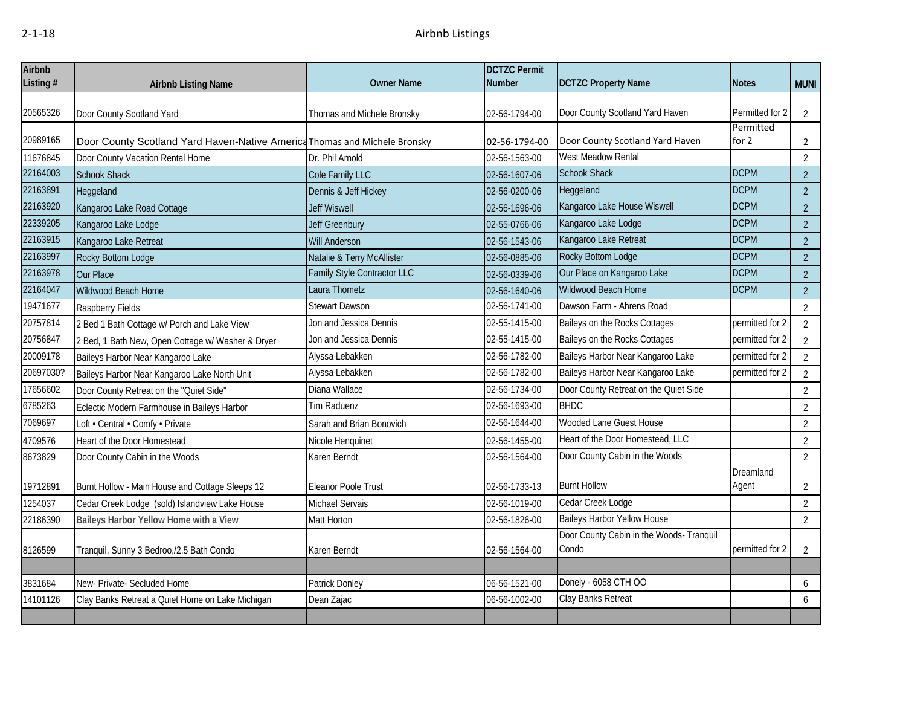| Airbnb    |                                                                           |                             | <b>DCTZC Permit</b> |                                                   |                    |                |
|-----------|---------------------------------------------------------------------------|-----------------------------|---------------------|---------------------------------------------------|--------------------|----------------|
| Listing # | <b>Airbnb Listing Name</b>                                                | <b>Owner Name</b>           | <b>Number</b>       | <b>DCTZC Property Name</b>                        | <b>Notes</b>       | <b>MUNI</b>    |
| 20565326  |                                                                           |                             | 02-56-1794-00       | Door County Scotland Yard Haven                   | Permitted for 2    | $\overline{2}$ |
|           | Door County Scotland Yard                                                 | Thomas and Michele Bronsky  |                     |                                                   | Permitted          |                |
| 20989165  | Door County Scotland Yard Haven-Native America Thomas and Michele Bronsky |                             | 02-56-1794-00       | Door County Scotland Yard Haven                   | for $2$            | $\overline{2}$ |
| 11676845  | Door County Vacation Rental Home                                          | Dr. Phil Arnold             | 02-56-1563-00       | West Meadow Rental                                |                    | $\overline{2}$ |
| 22164003  | <b>Schook Shack</b>                                                       | Cole Family LLC             | 02-56-1607-06       | Schook Shack                                      | <b>DCPM</b>        | $\overline{2}$ |
| 22163891  | Heggeland                                                                 | Dennis & Jeff Hickey        | 02-56-0200-06       | Heggeland                                         | <b>DCPM</b>        | $\overline{2}$ |
| 22163920  | Kangaroo Lake Road Cottage                                                | <b>Jeff Wiswell</b>         | 02-56-1696-06       | Kangaroo Lake House Wiswell                       | <b>DCPM</b>        | $\overline{2}$ |
| 22339205  | Kangaroo Lake Lodge                                                       | <b>Jeff Greenbury</b>       | 02-55-0766-06       | Kangaroo Lake Lodge                               | <b>DCPM</b>        | $\overline{2}$ |
| 22163915  | Kangaroo Lake Retreat                                                     | Will Anderson               | 02-56-1543-06       | Kangaroo Lake Retreat                             | <b>DCPM</b>        | $\overline{2}$ |
| 22163997  | Rocky Bottom Lodge                                                        | Natalie & Terry McAllister  | 02-56-0885-06       | Rocky Bottom Lodge                                | <b>DCPM</b>        | $\overline{2}$ |
| 22163978  | Our Place                                                                 | Family Style Contractor LLC | 02-56-0339-06       | Our Place on Kangaroo Lake                        | <b>DCPM</b>        | $\overline{2}$ |
| 22164047  | Wildwood Beach Home                                                       | Laura Thometz               | 02-56-1640-06       | Wildwood Beach Home                               | <b>DCPM</b>        | $\overline{2}$ |
| 19471677  | Raspberry Fields                                                          | <b>Stewart Dawson</b>       | 02-56-1741-00       | Dawson Farm - Ahrens Road                         |                    | $\overline{2}$ |
| 20757814  | 2 Bed 1 Bath Cottage w/ Porch and Lake View                               | Jon and Jessica Dennis      | 02-55-1415-00       | Baileys on the Rocks Cottages                     | permitted for 2    | $\overline{2}$ |
| 20756847  | 2 Bed, 1 Bath New, Open Cottage w/ Washer & Dryer                         | Jon and Jessica Dennis      | 02-55-1415-00       | Baileys on the Rocks Cottages                     | permitted for 2    | $\overline{2}$ |
| 20009178  | Baileys Harbor Near Kangaroo Lake                                         | Alyssa Lebakken             | 02-56-1782-00       | Baileys Harbor Near Kangaroo Lake                 | permitted for 2    | $\overline{2}$ |
| 20697030? | Baileys Harbor Near Kangaroo Lake North Unit                              | Alyssa Lebakken             | 02-56-1782-00       | Baileys Harbor Near Kangaroo Lake                 | permitted for 2    | $\overline{2}$ |
| 17656602  | Door County Retreat on the "Quiet Side"                                   | Diana Wallace               | 02-56-1734-00       | Door County Retreat on the Quiet Side             |                    | $\overline{2}$ |
| 6785263   | Eclectic Modern Farmhouse in Baileys Harbor                               | Tim Raduenz                 | 02-56-1693-00       | <b>BHDC</b>                                       |                    | $\overline{2}$ |
| 7069697   | Loft • Central • Comfy • Private                                          | Sarah and Brian Bonovich    | 02-56-1644-00       | Wooded Lane Guest House                           |                    | $\overline{2}$ |
| 4709576   | Heart of the Door Homestead                                               | Nicole Henquinet            | 02-56-1455-00       | Heart of the Door Homestead, LLC                  |                    | $\overline{2}$ |
| 8673829   | Door County Cabin in the Woods                                            | Karen Berndt                | 02-56-1564-00       | Door County Cabin in the Woods                    |                    | $\overline{2}$ |
| 19712891  | Burnt Hollow - Main House and Cottage Sleeps 12                           | Eleanor Poole Trust         | 02-56-1733-13       | <b>Burnt Hollow</b>                               | Dreamland<br>Agent | $\overline{2}$ |
| 1254037   | Cedar Creek Lodge (sold) Islandview Lake House                            | Michael Servais             | 02-56-1019-00       | Cedar Creek Lodge                                 |                    | $\overline{2}$ |
| 22186390  | Baileys Harbor Yellow Home with a View                                    | Matt Horton                 | 02-56-1826-00       | <b>Baileys Harbor Yellow House</b>                |                    | $\overline{2}$ |
| 8126599   | Tranquil, Sunny 3 Bedroo,/2.5 Bath Condo                                  | Karen Berndt                | 02-56-1564-00       | Door County Cabin in the Woods- Tranquil<br>Condo | permitted for 2    | $\overline{2}$ |
|           |                                                                           |                             |                     |                                                   |                    |                |
|           |                                                                           |                             | 06-56-1521-00       | Donely - 6058 CTH OO                              |                    |                |
| 3831684   | New-Private-Secluded Home                                                 | Patrick Donley              |                     | Clay Banks Retreat                                |                    | 6              |
| 14101126  | Clay Banks Retreat a Quiet Home on Lake Michigan                          | Dean Zajac                  | 06-56-1002-00       |                                                   |                    | 6              |
|           |                                                                           |                             |                     |                                                   |                    |                |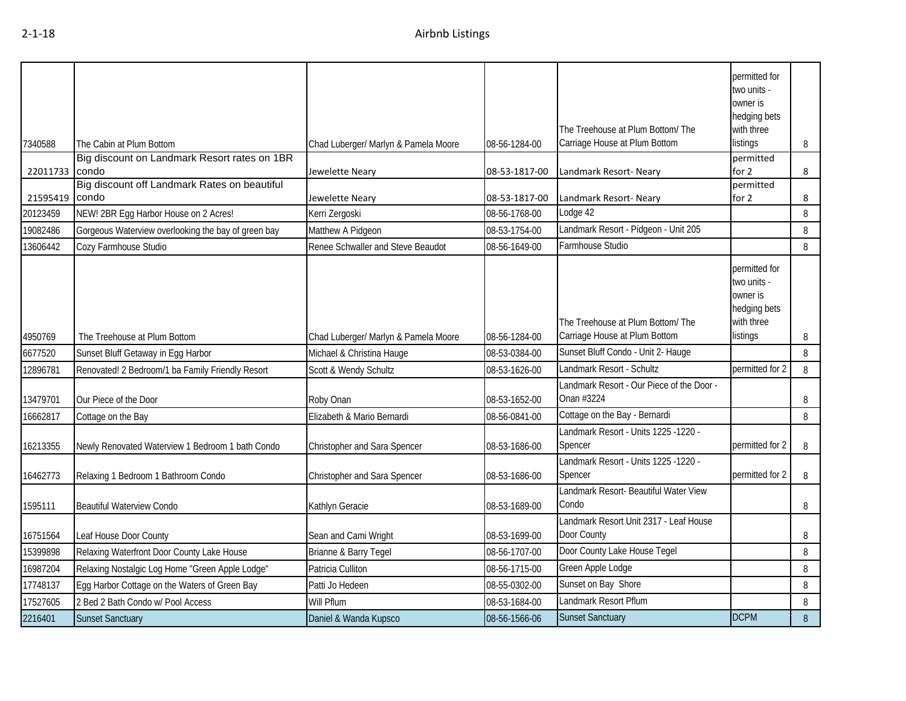|                |                                                       |                                      |               |                                                                    | permitted for<br>two units -<br>owner is<br>hedging bets<br>with three             |   |
|----------------|-------------------------------------------------------|--------------------------------------|---------------|--------------------------------------------------------------------|------------------------------------------------------------------------------------|---|
| 7340588        | The Cabin at Plum Bottom                              | Chad Luberger/ Marlyn & Pamela Moore | 08-56-1284-00 | The Treehouse at Plum Bottom/The<br>Carriage House at Plum Bottom  | listings                                                                           | 8 |
| 22011733 condo | Big discount on Landmark Resort rates on 1BR          | Jewelette Neary                      | 08-53-1817-00 | Landmark Resort- Neary                                             | permitted<br>for 2                                                                 | 8 |
| 21595419       | Big discount off Landmark Rates on beautiful<br>condo | Jewelette Neary                      | 08-53-1817-00 | Landmark Resort- Neary                                             | permitted<br>for 2                                                                 | 8 |
| 20123459       | NEW! 2BR Egg Harbor House on 2 Acres!                 | Kerri Zergoski                       | 08-56-1768-00 | Lodge 42                                                           |                                                                                    | 8 |
| 19082486       | Gorgeous Waterview overlooking the bay of green bay   | Matthew A Pidgeon                    | 08-53-1754-00 | Landmark Resort - Pidgeon - Unit 205                               |                                                                                    | 8 |
| 13606442       | Cozy Farmhouse Studio                                 | Renee Schwaller and Steve Beaudot    | 08-56-1649-00 | Farmhouse Studio                                                   |                                                                                    | 8 |
| 4950769        | The Treehouse at Plum Bottom                          | Chad Luberger/ Marlyn & Pamela Moore | 08-56-1284-00 | The Treehouse at Plum Bottom/ The<br>Carriage House at Plum Bottom | permitted for<br>two units -<br>owner is<br>hedging bets<br>with three<br>listings | 8 |
| 6677520        | Sunset Bluff Getaway in Egg Harbor                    | Michael & Christina Hauge            | 08-53-0384-00 | Sunset Bluff Condo - Unit 2- Hauge                                 |                                                                                    | 8 |
| 12896781       | Renovated! 2 Bedroom/1 ba Family Friendly Resort      | Scott & Wendy Schultz                | 08-53-1626-00 | Landmark Resort - Schultz                                          | permitted for 2                                                                    | 8 |
| 13479701       | Our Piece of the Door                                 | Roby Onan                            | 08-53-1652-00 | Landmark Resort - Our Piece of the Door -<br>Onan #3224            |                                                                                    | 8 |
| 16662817       | Cottage on the Bay                                    | Elizabeth & Mario Bernardi           | 08-56-0841-00 | Cottage on the Bay - Bernardi                                      |                                                                                    | 8 |
| 16213355       | Newly Renovated Waterview 1 Bedroom 1 bath Condo      | Christopher and Sara Spencer         | 08-53-1686-00 | Landmark Resort - Units 1225 -1220 -<br>Spencer                    | permitted for 2                                                                    | 8 |
| 16462773       | Relaxing 1 Bedroom 1 Bathroom Condo                   | Christopher and Sara Spencer         | 08-53-1686-00 | Landmark Resort - Units 1225 -1220 -<br>Spencer                    | permitted for 2                                                                    | 8 |
| 1595111        | <b>Beautiful Waterview Condo</b>                      | Kathlyn Geracie                      | 08-53-1689-00 | Landmark Resort- Beautiful Water View<br>Condo                     |                                                                                    | 8 |
| 16751564       | Leaf House Door County                                | Sean and Cami Wright                 | 08-53-1699-00 | Landmark Resort Unit 2317 - Leaf House<br>Door County              |                                                                                    | 8 |
| 15399898       | Relaxing Waterfront Door County Lake House            | Brianne & Barry Tegel                | 08-56-1707-00 | Door County Lake House Tegel                                       |                                                                                    | 8 |
| 16987204       | Relaxing Nostalgic Log Home "Green Apple Lodge"       | Patricia Culliton                    | 08-56-1715-00 | Green Apple Lodge                                                  |                                                                                    | 8 |
| 17748137       | Egg Harbor Cottage on the Waters of Green Bay         | Patti Jo Hedeen                      | 08-55-0302-00 | Sunset on Bay Shore                                                |                                                                                    | 8 |
| 17527605       | 2 Bed 2 Bath Condo w/ Pool Access                     | Will Pflum                           | 08-53-1684-00 | Landmark Resort Pflum                                              |                                                                                    | 8 |
| 2216401        | <b>Sunset Sanctuary</b>                               | Daniel & Wanda Kupsco                | 08-56-1566-06 | <b>Sunset Sanctuary</b>                                            | <b>DCPM</b>                                                                        | 8 |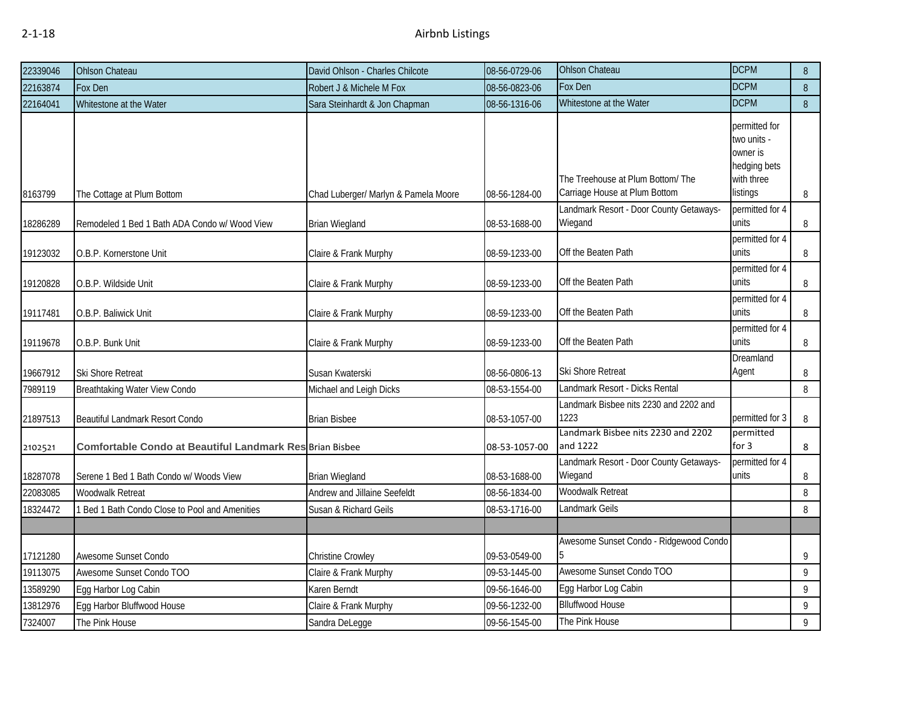| 22339046 | <b>Ohlson Chateau</b>                                           | David Ohlson - Charles Chilcote      | 08-56-0729-06 | <b>Ohlson Chateau</b>                                              | <b>DCPM</b>                                                                        | 8 |
|----------|-----------------------------------------------------------------|--------------------------------------|---------------|--------------------------------------------------------------------|------------------------------------------------------------------------------------|---|
| 22163874 | Fox Den                                                         | Robert J & Michele M Fox             | 08-56-0823-06 | Fox Den                                                            | <b>DCPM</b>                                                                        | 8 |
| 22164041 | Whitestone at the Water                                         | Sara Steinhardt & Jon Chapman        | 08-56-1316-06 | Whitestone at the Water                                            | <b>DCPM</b>                                                                        | 8 |
| 8163799  | The Cottage at Plum Bottom                                      | Chad Luberger/ Marlyn & Pamela Moore | 08-56-1284-00 | The Treehouse at Plum Bottom/ The<br>Carriage House at Plum Bottom | permitted for<br>two units -<br>owner is<br>hedging bets<br>with three<br>listings | 8 |
| 18286289 | Remodeled 1 Bed 1 Bath ADA Condo w/ Wood View                   | <b>Brian Wiegland</b>                | 08-53-1688-00 | Landmark Resort - Door County Getaways-<br>Wiegand                 | permitted for 4<br>units                                                           | 8 |
| 19123032 | O.B.P. Kornerstone Unit                                         | Claire & Frank Murphy                | 08-59-1233-00 | Off the Beaten Path                                                | permitted for 4<br>units                                                           | 8 |
| 19120828 | O.B.P. Wildside Unit                                            | Claire & Frank Murphy                | 08-59-1233-00 | Off the Beaten Path                                                | permitted for 4<br>units                                                           | 8 |
| 19117481 | O.B.P. Baliwick Unit                                            | Claire & Frank Murphy                | 08-59-1233-00 | Off the Beaten Path                                                | permitted for 4<br>units                                                           | 8 |
| 19119678 | O.B.P. Bunk Unit                                                | Claire & Frank Murphy                | 08-59-1233-00 | Off the Beaten Path                                                | permitted for 4<br>units                                                           | 8 |
| 19667912 | Ski Shore Retreat                                               | Susan Kwaterski                      | 08-56-0806-13 | Ski Shore Retreat                                                  | Dreamland<br>Agent                                                                 | 8 |
| 7989119  | Breathtaking Water View Condo                                   | Michael and Leigh Dicks              | 08-53-1554-00 | Landmark Resort - Dicks Rental                                     |                                                                                    | 8 |
| 21897513 | Beautiful Landmark Resort Condo                                 | <b>Brian Bisbee</b>                  | 08-53-1057-00 | Landmark Bisbee nits 2230 and 2202 and<br>1223                     | permitted for 3                                                                    | 8 |
| 2102521  | <b>Comfortable Condo at Beautiful Landmark Res Brian Bisbee</b> |                                      | 08-53-1057-00 | Landmark Bisbee nits 2230 and 2202<br>and 1222                     | permitted<br>for $3$                                                               | 8 |
| 18287078 | Serene 1 Bed 1 Bath Condo w/ Woods View                         | <b>Brian Wiegland</b>                | 08-53-1688-00 | Landmark Resort - Door County Getaways-<br>Wiegand                 | permitted for 4<br>units                                                           | 8 |
| 22083085 | Woodwalk Retreat                                                | Andrew and Jillaine Seefeldt         | 08-56-1834-00 | Woodwalk Retreat                                                   |                                                                                    | 8 |
| 18324472 | 1 Bed 1 Bath Condo Close to Pool and Amenities                  | Susan & Richard Geils                | 08-53-1716-00 | Landmark Geils                                                     |                                                                                    | 8 |
|          |                                                                 |                                      |               |                                                                    |                                                                                    |   |
| 17121280 | Awesome Sunset Condo                                            | Christine Crowley                    | 09-53-0549-00 | Awesome Sunset Condo - Ridgewood Condo                             |                                                                                    | 9 |
| 19113075 | Awesome Sunset Condo TOO                                        | Claire & Frank Murphy                | 09-53-1445-00 | Awesome Sunset Condo TOO                                           |                                                                                    | 9 |
| 13589290 | Egg Harbor Log Cabin                                            | Karen Berndt                         | 09-56-1646-00 | Egg Harbor Log Cabin                                               |                                                                                    | 9 |
| 13812976 | Egg Harbor Bluffwood House                                      | Claire & Frank Murphy                | 09-56-1232-00 | <b>Blluffwood House</b>                                            |                                                                                    | 9 |
| 7324007  | The Pink House                                                  | Sandra DeLegge                       | 09-56-1545-00 | The Pink House                                                     |                                                                                    | 9 |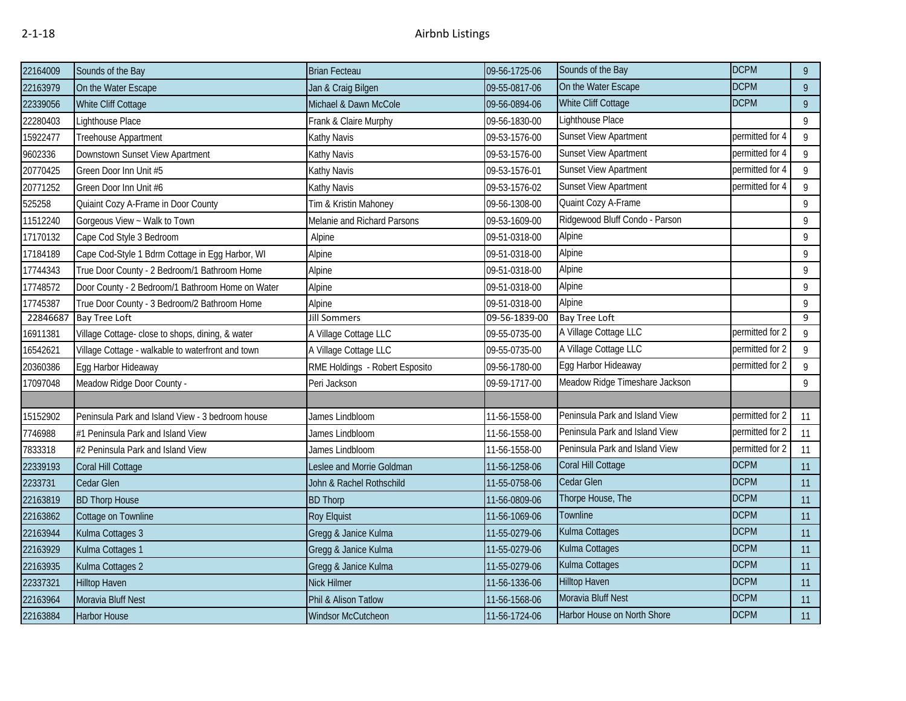| 22164009 | Sounds of the Bay                                 | <b>Brian Fecteau</b>           | 09-56-1725-06 | Sounds of the Bay              | <b>DCPM</b>     | $\overline{9}$ |
|----------|---------------------------------------------------|--------------------------------|---------------|--------------------------------|-----------------|----------------|
| 22163979 | On the Water Escape                               | Jan & Craig Bilgen             | 09-55-0817-06 | On the Water Escape            | <b>DCPM</b>     | $\overline{9}$ |
| 22339056 | White Cliff Cottage                               | Michael & Dawn McCole          | 09-56-0894-06 | White Cliff Cottage            | <b>DCPM</b>     | $\overline{9}$ |
| 22280403 | Lighthouse Place                                  | Frank & Claire Murphy          | 09-56-1830-00 | Lighthouse Place               |                 | $\overline{9}$ |
| 15922477 | Treehouse Appartment                              | Kathy Navis                    | 09-53-1576-00 | Sunset View Apartment          | permitted for 4 | $\overline{9}$ |
| 9602336  | Downstown Sunset View Apartment                   | Kathy Navis                    | 09-53-1576-00 | Sunset View Apartment          | permitted for 4 | $\overline{9}$ |
| 20770425 | Green Door Inn Unit #5                            | Kathy Navis                    | 09-53-1576-01 | <b>Sunset View Apartment</b>   | permitted for 4 | 9              |
| 20771252 | Green Door Inn Unit #6                            | Kathy Navis                    | 09-53-1576-02 | Sunset View Apartment          | permitted for 4 | 9              |
| 525258   | Quiaint Cozy A-Frame in Door County               | Tim & Kristin Mahoney          | 09-56-1308-00 | Quaint Cozy A-Frame            |                 | 9              |
| 11512240 | Gorgeous View ~ Walk to Town                      | Melanie and Richard Parsons    | 09-53-1609-00 | Ridgewood Bluff Condo - Parson |                 | 9              |
| 17170132 | Cape Cod Style 3 Bedroom                          | Alpine                         | 09-51-0318-00 | Alpine                         |                 | $\overline{9}$ |
| 17184189 | Cape Cod-Style 1 Bdrm Cottage in Egg Harbor, WI   | Alpine                         | 09-51-0318-00 | Alpine                         |                 | $\overline{9}$ |
| 17744343 | True Door County - 2 Bedroom/1 Bathroom Home      | Alpine                         | 09-51-0318-00 | Alpine                         |                 | $\overline{9}$ |
| 17748572 | Door County - 2 Bedroom/1 Bathroom Home on Water  | Alpine                         | 09-51-0318-00 | Alpine                         |                 | $\overline{9}$ |
| 17745387 | True Door County - 3 Bedroom/2 Bathroom Home      | Alpine                         | 09-51-0318-00 | Alpine                         |                 | 9              |
| 2284668  | <b>Bay Tree Loft</b>                              | <b>Jill Sommers</b>            | 09-56-1839-00 | <b>Bay Tree Loft</b>           |                 | 9              |
| 16911381 | Village Cottage- close to shops, dining, & water  | A Village Cottage LLC          | 09-55-0735-00 | A Village Cottage LLC          | permitted for 2 | $\overline{9}$ |
| 16542621 | Village Cottage - walkable to waterfront and town | A Village Cottage LLC          | 09-55-0735-00 | A Village Cottage LLC          | permitted for 2 | $\overline{9}$ |
| 20360386 | Egg Harbor Hideaway                               | RME Holdings - Robert Esposito | 09-56-1780-00 | Egg Harbor Hideaway            | permitted for 2 | 9              |
| 17097048 | Meadow Ridge Door County -                        | Peri Jackson                   | 09-59-1717-00 | Meadow Ridge Timeshare Jackson |                 | $\overline{9}$ |
|          |                                                   |                                |               |                                |                 |                |
| 15152902 | Peninsula Park and Island View - 3 bedroom house  | James Lindbloom                | 11-56-1558-00 | Peninsula Park and Island View | permitted for 2 | 11             |
| 7746988  | #1 Peninsula Park and Island View                 | James Lindbloom                | 11-56-1558-00 | Peninsula Park and Island View | permitted for 2 | 11             |
| 7833318  | #2 Peninsula Park and Island View                 | James Lindbloom                | 11-56-1558-00 | Peninsula Park and Island View | permitted for 2 | 11             |
| 22339193 | Coral Hill Cottage                                | Leslee and Morrie Goldman      | 11-56-1258-06 | Coral Hill Cottage             | <b>DCPM</b>     | 11             |
| 2233731  | Cedar Glen                                        | John & Rachel Rothschild       | 11-55-0758-06 | Cedar Glen                     | <b>DCPM</b>     | 11             |
| 22163819 | <b>BD Thorp House</b>                             | <b>BD Thorp</b>                | 11-56-0809-06 | Thorpe House, The              | <b>DCPM</b>     | 11             |
| 22163862 | Cottage on Townline                               | <b>Roy Elquist</b>             | 11-56-1069-06 | Townline                       | <b>DCPM</b>     | 11             |
| 22163944 | Kulma Cottages 3                                  | Gregg & Janice Kulma           | 11-55-0279-06 | Kulma Cottages                 | <b>DCPM</b>     | 11             |
| 22163929 | Kulma Cottages 1                                  | Gregg & Janice Kulma           | 11-55-0279-06 | Kulma Cottages                 | <b>DCPM</b>     | 11             |
| 22163935 | Kulma Cottages 2                                  | Gregg & Janice Kulma           | 11-55-0279-06 | Kulma Cottages                 | <b>DCPM</b>     | 11             |
| 22337321 | <b>Hilltop Haven</b>                              | <b>Nick Hilmer</b>             | 11-56-1336-06 | <b>Hilltop Haven</b>           | <b>DCPM</b>     | 11             |
| 22163964 | Moravia Bluff Nest                                | Phil & Alison Tatlow           | 11-56-1568-06 | Moravia Bluff Nest             | <b>DCPM</b>     | 11             |
| 22163884 | <b>Harbor House</b>                               | Windsor McCutcheon             | 11-56-1724-06 | Harbor House on North Shore    | <b>DCPM</b>     | 11             |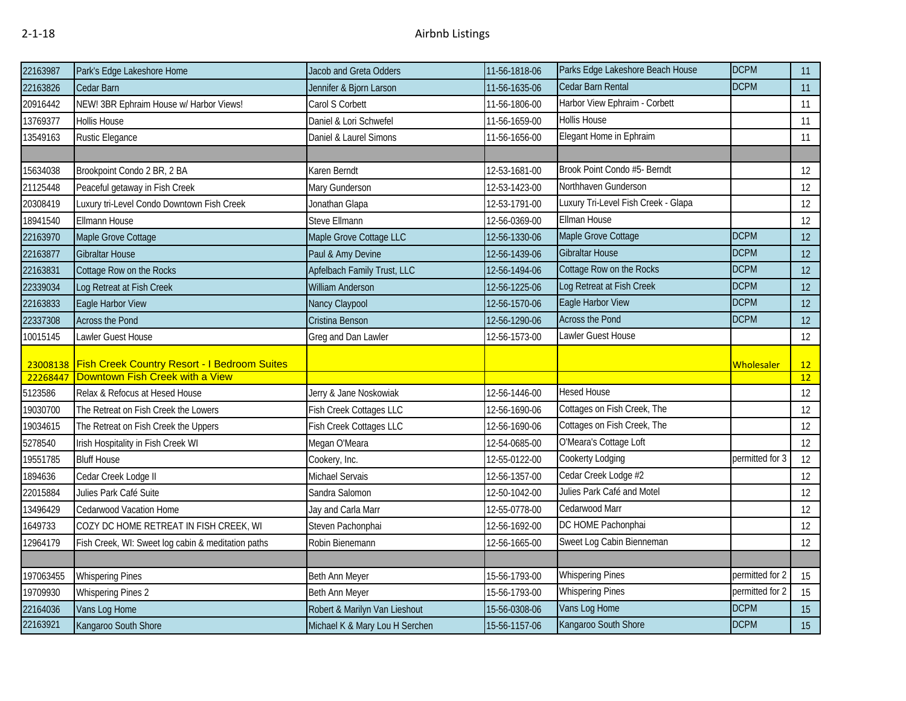| 22163987  | Park's Edge Lakeshore Home                          | Jacob and Greta Odders         | 11-56-1818-06 | Parks Edge Lakeshore Beach House    | <b>DCPM</b>       | 11 |
|-----------|-----------------------------------------------------|--------------------------------|---------------|-------------------------------------|-------------------|----|
| 22163826  | Cedar Barn                                          | Jennifer & Bjorn Larson        | 11-56-1635-06 | Cedar Barn Rental                   | <b>DCPM</b>       | 11 |
| 20916442  | NEW! 3BR Ephraim House w/ Harbor Views!             | Carol S Corbett                | 11-56-1806-00 | Harbor View Ephraim - Corbett       |                   | 11 |
| 13769377  | <b>Hollis House</b>                                 | Daniel & Lori Schwefel         | 11-56-1659-00 | Hollis House                        |                   | 11 |
| 13549163  | <b>Rustic Elegance</b>                              | Daniel & Laurel Simons         | 11-56-1656-00 | Elegant Home in Ephraim             |                   | 11 |
|           |                                                     |                                |               |                                     |                   |    |
| 15634038  | Brookpoint Condo 2 BR, 2 BA                         | <b>Karen Berndt</b>            | 12-53-1681-00 | Brook Point Condo #5- Berndt        |                   | 12 |
| 21125448  | Peaceful getaway in Fish Creek                      | Mary Gunderson                 | 12-53-1423-00 | Northhaven Gunderson                |                   | 12 |
| 20308419  | Luxury tri-Level Condo Downtown Fish Creek          | Jonathan Glapa                 | 12-53-1791-00 | Luxury Tri-Level Fish Creek - Glapa |                   | 12 |
| 18941540  | Ellmann House                                       | Steve Ellmann                  | 12-56-0369-00 | Ellman House                        |                   | 12 |
| 22163970  | Maple Grove Cottage                                 | Maple Grove Cottage LLC        | 12-56-1330-06 | Maple Grove Cottage                 | <b>DCPM</b>       | 12 |
| 22163877  | <b>Gibraltar House</b>                              | Paul & Amy Devine              | 12-56-1439-06 | <b>Gibraltar House</b>              | <b>DCPM</b>       | 12 |
| 22163831  | Cottage Row on the Rocks                            | Apfelbach Family Trust, LLC    | 12-56-1494-06 | Cottage Row on the Rocks            | <b>DCPM</b>       | 12 |
| 22339034  | Log Retreat at Fish Creek                           | William Anderson               | 12-56-1225-06 | Log Retreat at Fish Creek           | <b>DCPM</b>       | 12 |
| 22163833  | Eagle Harbor View                                   | Nancy Claypool                 | 12-56-1570-06 | Eagle Harbor View                   | <b>DCPM</b>       | 12 |
| 22337308  | <b>Across the Pond</b>                              | Cristina Benson                | 12-56-1290-06 | <b>Across the Pond</b>              | <b>DCPM</b>       | 12 |
| 10015145  | Lawler Guest House                                  | Greg and Dan Lawler            | 12-56-1573-00 | Lawler Guest House                  |                   | 12 |
| 23008138  | <b>Fish Creek Country Resort - I Bedroom Suites</b> |                                |               |                                     | <b>Wholesaler</b> | 12 |
| 22268447  | Downtown Fish Creek with a View                     |                                |               |                                     |                   | 12 |
| 5123586   | Relax & Refocus at Hesed House                      | Jerry & Jane Noskowiak         | 12-56-1446-00 | <b>Hesed House</b>                  |                   | 12 |
| 19030700  | The Retreat on Fish Creek the Lowers                | Fish Creek Cottages LLC        | 12-56-1690-06 | Cottages on Fish Creek, The         |                   | 12 |
| 19034615  | The Retreat on Fish Creek the Uppers                | Fish Creek Cottages LLC        | 12-56-1690-06 | Cottages on Fish Creek, The         |                   | 12 |
| 5278540   | Irish Hospitality in Fish Creek WI                  | Megan O'Meara                  | 12-54-0685-00 | O'Meara's Cottage Loft              |                   | 12 |
| 19551785  | <b>Bluff House</b>                                  | Cookery, Inc.                  | 12-55-0122-00 | Cookerty Lodging                    | permitted for 3   | 12 |
| 1894636   | Cedar Creek Lodge II                                | Michael Servais                | 12-56-1357-00 | Cedar Creek Lodge #2                |                   | 12 |
| 22015884  | Julies Park Café Suite                              | Sandra Salomon                 | 12-50-1042-00 | Julies Park Café and Motel          |                   | 12 |
| 13496429  | Cedarwood Vacation Home                             | Jay and Carla Marr             | 12-55-0778-00 | Cedarwood Marr                      |                   | 12 |
| 1649733   | COZY DC HOME RETREAT IN FISH CREEK, WI              | Steven Pachonphai              | 12-56-1692-00 | DC HOME Pachonphai                  |                   | 12 |
| 12964179  | Fish Creek, WI: Sweet log cabin & meditation paths  | Robin Bienemann                | 12-56-1665-00 | Sweet Log Cabin Bienneman           |                   | 12 |
|           |                                                     |                                |               |                                     |                   |    |
| 197063455 | <b>Whispering Pines</b>                             | Beth Ann Meyer                 | 15-56-1793-00 | <b>Whispering Pines</b>             | permitted for 2   | 15 |
| 19709930  | <b>Whispering Pines 2</b>                           | Beth Ann Meyer                 | 15-56-1793-00 | <b>Whispering Pines</b>             | permitted for 2   | 15 |
| 22164036  | Vans Log Home                                       | Robert & Marilyn Van Lieshout  | 15-56-0308-06 | Vans Log Home                       | <b>DCPM</b>       | 15 |
| 22163921  | Kangaroo South Shore                                | Michael K & Mary Lou H Serchen | 15-56-1157-06 | Kangaroo South Shore                | <b>DCPM</b>       | 15 |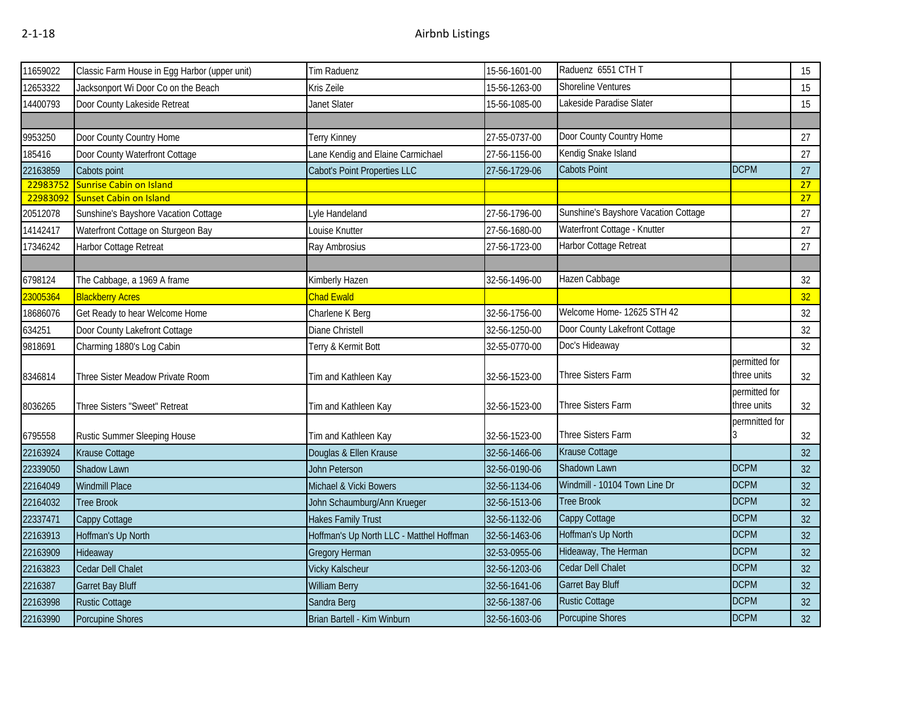| 11659022 | Classic Farm House in Egg Harbor (upper unit) | Tim Raduenz                              | 15-56-1601-00 | Raduenz 6551 CTH T                   |                | 15              |
|----------|-----------------------------------------------|------------------------------------------|---------------|--------------------------------------|----------------|-----------------|
| 12653322 | Jacksonport Wi Door Co on the Beach           | Kris Zeile                               | 15-56-1263-00 | Shoreline Ventures                   |                | 15              |
| 14400793 | Door County Lakeside Retreat                  | Janet Slater                             | 15-56-1085-00 | Lakeside Paradise Slater             |                | 15              |
|          |                                               |                                          |               |                                      |                |                 |
| 9953250  | Door County Country Home                      | Terry Kinney                             | 27-55-0737-00 | Door County Country Home             |                | 27              |
| 185416   | Door County Waterfront Cottage                | Lane Kendig and Elaine Carmichael        | 27-56-1156-00 | Kendig Snake Island                  |                | 27              |
| 22163859 | Cabots point                                  | Cabot's Point Properties LLC             | 27-56-1729-06 | <b>Cabots Point</b>                  | <b>DCPM</b>    | 27              |
| 22983752 | <b>Sunrise Cabin on Island</b>                |                                          |               |                                      |                | 27              |
| 22983092 | Sunset Cabin on Island                        |                                          |               |                                      |                | 27              |
| 20512078 | Sunshine's Bayshore Vacation Cottage          | Lyle Handeland                           | 27-56-1796-00 | Sunshine's Bayshore Vacation Cottage |                | 27              |
| 14142417 | Waterfront Cottage on Sturgeon Bay            | Louise Knutter                           | 27-56-1680-00 | Waterfront Cottage - Knutter         |                | 27              |
| 17346242 | Harbor Cottage Retreat                        | Ray Ambrosius                            | 27-56-1723-00 | Harbor Cottage Retreat               |                | 27              |
|          |                                               |                                          |               |                                      |                |                 |
| 6798124  | The Cabbage, a 1969 A frame                   | Kimberly Hazen                           | 32-56-1496-00 | Hazen Cabbage                        |                | 32              |
| 23005364 | <b>Blackberry Acres</b>                       | <b>Chad Ewald</b>                        |               |                                      |                | 32              |
| 18686076 | Get Ready to hear Welcome Home                | Charlene K Berg                          | 32-56-1756-00 | Welcome Home- 12625 STH 42           |                | 32              |
| 634251   | Door County Lakefront Cottage                 | Diane Christell                          | 32-56-1250-00 | Door County Lakefront Cottage        |                | 32              |
| 9818691  | Charming 1880's Log Cabin                     | Terry & Kermit Bott                      | 32-55-0770-00 | Doc's Hideaway                       |                | 32              |
|          |                                               |                                          |               |                                      | permitted for  |                 |
| 8346814  | Three Sister Meadow Private Room              | Tim and Kathleen Kay                     | 32-56-1523-00 | Three Sisters Farm                   | three units    | 32              |
|          |                                               |                                          |               |                                      | permitted for  |                 |
| 8036265  | Three Sisters "Sweet" Retreat                 | Tim and Kathleen Kay                     | 32-56-1523-00 | Three Sisters Farm                   | three units    | 32              |
|          |                                               |                                          |               |                                      | permnitted for |                 |
| 6795558  | Rustic Summer Sleeping House                  | Tim and Kathleen Kay                     | 32-56-1523-00 | Three Sisters Farm                   |                | 32              |
| 22163924 | Krause Cottage                                | Douglas & Ellen Krause                   | 32-56-1466-06 | Krause Cottage                       |                | 32              |
| 22339050 | Shadow Lawn                                   | John Peterson                            | 32-56-0190-06 | Shadown Lawn                         | <b>DCPM</b>    | 32              |
| 22164049 | Windmill Place                                | Michael & Vicki Bowers                   | 32-56-1134-06 | Windmill - 10104 Town Line Dr        | <b>DCPM</b>    | 32              |
| 22164032 | <b>Tree Brook</b>                             | John Schaumburg/Ann Krueger              | 32-56-1513-06 | <b>Tree Brook</b>                    | <b>DCPM</b>    | 32              |
| 22337471 | Cappy Cottage                                 | <b>Hakes Family Trust</b>                | 32-56-1132-06 | Cappy Cottage                        | <b>DCPM</b>    | 32              |
| 22163913 | Hoffman's Up North                            | Hoffman's Up North LLC - Matthel Hoffman | 32-56-1463-06 | Hoffman's Up North                   | <b>DCPM</b>    | 32              |
| 22163909 | Hideaway                                      | Gregory Herman                           | 32-53-0955-06 | Hideaway, The Herman                 | <b>DCPM</b>    | 32              |
| 22163823 | Cedar Dell Chalet                             | Vicky Kalscheur                          | 32-56-1203-06 | Cedar Dell Chalet                    | <b>DCPM</b>    | 32              |
| 2216387  | <b>Garret Bay Bluff</b>                       | <b>William Berry</b>                     | 32-56-1641-06 | Garret Bay Bluff                     | <b>DCPM</b>    | 32              |
| 22163998 | <b>Rustic Cottage</b>                         | Sandra Berg                              | 32-56-1387-06 | <b>Rustic Cottage</b>                | <b>DCPM</b>    | 32              |
| 22163990 | Porcupine Shores                              | Brian Bartell - Kim Winburn              | 32-56-1603-06 | Porcupine Shores                     | <b>DCPM</b>    | 32 <sup>°</sup> |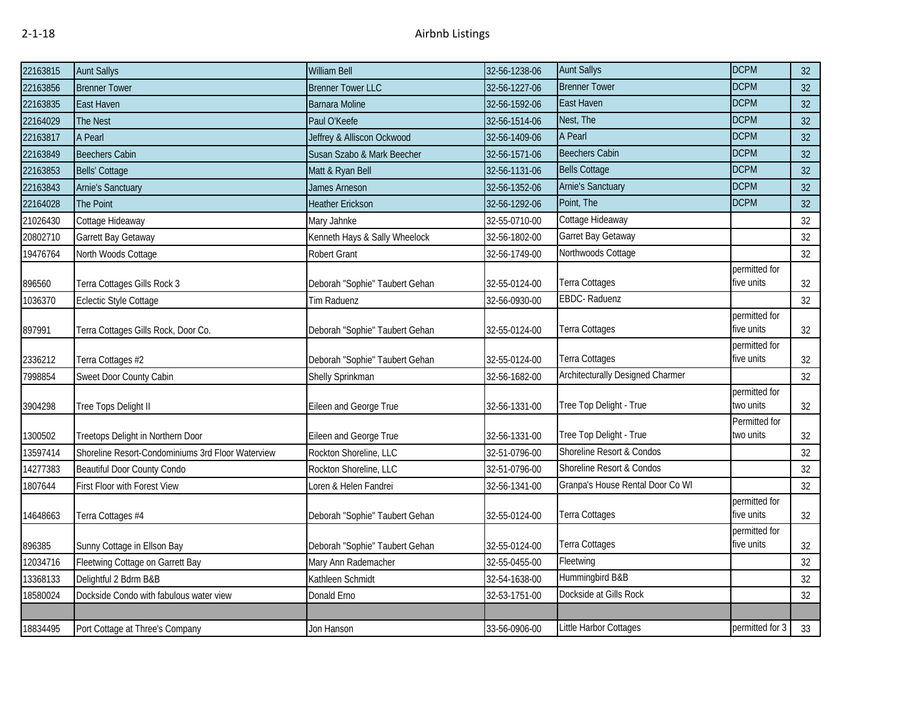| 22163815 | <b>Aunt Sallys</b>                                | William Bell                   | 32-56-1238-06 | <b>Aunt Sallys</b>                      | <b>DCPM</b>                 | 32       |
|----------|---------------------------------------------------|--------------------------------|---------------|-----------------------------------------|-----------------------------|----------|
| 22163856 | <b>Brenner Tower</b>                              | <b>Brenner Tower LLC</b>       | 32-56-1227-06 | <b>Brenner Tower</b>                    | <b>DCPM</b>                 | 32       |
| 22163835 | East Haven                                        | <b>Barnara Moline</b>          | 32-56-1592-06 | East Haven                              | <b>DCPM</b>                 | 32       |
| 22164029 | <b>The Nest</b>                                   | Paul O'Keefe                   | 32-56-1514-06 | Nest, The                               | <b>DCPM</b>                 | 32       |
| 22163817 | A Pearl                                           | Jeffrey & Alliscon Ockwood     | 32-56-1409-06 | A Pearl                                 | <b>DCPM</b>                 | 32       |
| 22163849 | <b>Beechers Cabin</b>                             | Susan Szabo & Mark Beecher     | 32-56-1571-06 | <b>Beechers Cabin</b>                   | <b>DCPM</b>                 | 32       |
| 22163853 | Bells' Cottage                                    | Matt & Ryan Bell               | 32-56-1131-06 | <b>Bells Cottage</b>                    | <b>DCPM</b>                 | 32       |
| 22163843 | <b>Arnie's Sanctuary</b>                          | James Arneson                  | 32-56-1352-06 | <b>Arnie's Sanctuary</b>                | <b>DCPM</b>                 | 32       |
| 22164028 | The Point                                         | <b>Heather Erickson</b>        | 32-56-1292-06 | Point, The                              | <b>DCPM</b>                 | 32       |
| 21026430 | Cottage Hideaway                                  | Mary Jahnke                    | 32-55-0710-00 | Cottage Hideaway                        |                             | 32       |
| 20802710 | Garrett Bay Getaway                               | Kenneth Hays & Sally Wheelock  | 32-56-1802-00 | Garret Bay Getaway                      |                             | 32       |
| 19476764 | North Woods Cottage                               | Robert Grant                   | 32-56-1749-00 | Northwoods Cottage                      |                             | 32       |
|          |                                                   |                                |               |                                         | permitted for               |          |
| 896560   | Terra Cottages Gills Rock 3                       | Deborah "Sophie" Taubert Gehan | 32-55-0124-00 | <b>Terra Cottages</b>                   | five units                  | 32       |
| 1036370  | Eclectic Style Cottage                            | Tim Raduenz                    | 32-56-0930-00 | EBDC-Raduenz                            |                             | 32       |
|          |                                                   |                                |               |                                         | permitted for               |          |
| 897991   | Terra Cottages Gills Rock, Door Co.               | Deborah "Sophie" Taubert Gehan | 32-55-0124-00 | Terra Cottages                          | five units                  | 32       |
|          |                                                   | Deborah "Sophie" Taubert Gehan | 32-55-0124-00 | <b>Terra Cottages</b>                   | permitted for<br>five units |          |
| 2336212  | Terra Cottages #2                                 |                                |               | <b>Architecturally Designed Charmer</b> |                             | 32<br>32 |
| 7998854  | Sweet Door County Cabin                           | Shelly Sprinkman               | 32-56-1682-00 |                                         | permitted for               |          |
| 3904298  | Tree Tops Delight II                              | Eileen and George True         | 32-56-1331-00 | Tree Top Delight - True                 | two units                   | 32       |
|          |                                                   |                                |               |                                         | Permitted for               |          |
| 1300502  | Treetops Delight in Northern Door                 | Eileen and George True         | 32-56-1331-00 | Tree Top Delight - True                 | two units                   | 32       |
| 13597414 | Shoreline Resort-Condominiums 3rd Floor Waterview | Rockton Shoreline, LLC         | 32-51-0796-00 | Shoreline Resort & Condos               |                             | 32       |
| 14277383 | <b>Beautiful Door County Condo</b>                | Rockton Shoreline, LLC         | 32-51-0796-00 | Shoreline Resort & Condos               |                             | 32       |
| 1807644  | First Floor with Forest View                      | Loren & Helen Fandrei          | 32-56-1341-00 | Granpa's House Rental Door Co WI        |                             | 32       |
|          |                                                   |                                |               |                                         | permitted for               |          |
| 14648663 | Terra Cottages #4                                 | Deborah "Sophie" Taubert Gehan | 32-55-0124-00 | Terra Cottages                          | five units                  | 32       |
|          |                                                   |                                |               |                                         | permitted for               |          |
| 896385   | Sunny Cottage in Ellson Bay                       | Deborah "Sophie" Taubert Gehan | 32-55-0124-00 | Terra Cottages                          | five units                  | 32       |
| 12034716 | Fleetwing Cottage on Garrett Bay                  | Mary Ann Rademacher            | 32-55-0455-00 | Fleetwing                               |                             | 32       |
| 13368133 | Delightful 2 Bdrm B&B                             | Kathleen Schmidt               | 32-54-1638-00 | Hummingbird B&B                         |                             | 32       |
| 18580024 | Dockside Condo with fabulous water view           | Donald Erno                    | 32-53-1751-00 | Dockside at Gills Rock                  |                             | 32       |
|          |                                                   |                                |               |                                         |                             |          |
| 18834495 | Port Cottage at Three's Company                   | Jon Hanson                     | 33-56-0906-00 | Little Harbor Cottages                  | permitted for 3             | 33       |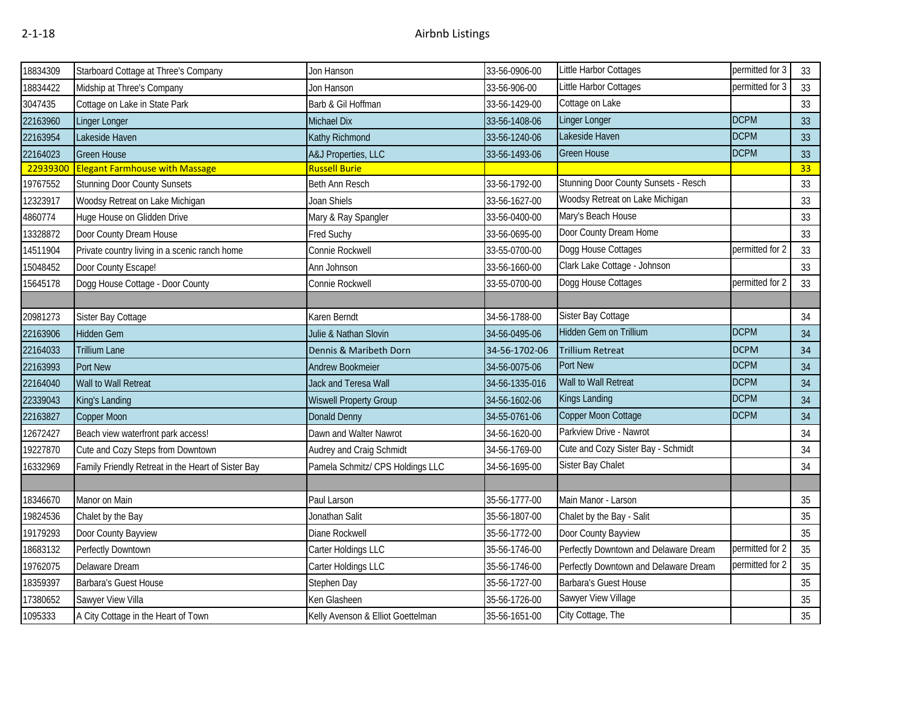| 18834309 | Starboard Cottage at Three's Company               | Jon Hanson                        | 33-56-0906-00  | Little Harbor Cottages                | permitted for 3 | 33 |
|----------|----------------------------------------------------|-----------------------------------|----------------|---------------------------------------|-----------------|----|
| 18834422 | Midship at Three's Company                         | Jon Hanson                        | 33-56-906-00   | Little Harbor Cottages                | permitted for 3 | 33 |
| 3047435  | Cottage on Lake in State Park                      | Barb & Gil Hoffman                | 33-56-1429-00  | Cottage on Lake                       |                 | 33 |
| 22163960 | Linger Longer                                      | Michael Dix                       | 33-56-1408-06  | <b>Linger Longer</b>                  | <b>DCPM</b>     | 33 |
| 22163954 | Lakeside Haven                                     | Kathy Richmond                    | 33-56-1240-06  | Lakeside Haven                        | <b>DCPM</b>     | 33 |
| 22164023 | <b>Green House</b>                                 | A&J Properties, LLC               | 33-56-1493-06  | <b>Green House</b>                    | <b>DCPM</b>     | 33 |
| 22939300 | <b>Elegant Farmhouse with Massage</b>              | <b>Russell Burie</b>              |                |                                       |                 | 33 |
| 19767552 | <b>Stunning Door County Sunsets</b>                | Beth Ann Resch                    | 33-56-1792-00  | Stunning Door County Sunsets - Resch  |                 | 33 |
| 12323917 | Woodsy Retreat on Lake Michigan                    | Joan Shiels                       | 33-56-1627-00  | Woodsy Retreat on Lake Michigan       |                 | 33 |
| 4860774  | Huge House on Glidden Drive                        | Mary & Ray Spangler               | 33-56-0400-00  | Mary's Beach House                    |                 | 33 |
| 13328872 | Door County Dream House                            | Fred Suchy                        | 33-56-0695-00  | Door County Dream Home                |                 | 33 |
| 14511904 | Private country living in a scenic ranch home      | Connie Rockwell                   | 33-55-0700-00  | Dogg House Cottages                   | permitted for 2 | 33 |
| 15048452 | Door County Escape!                                | Ann Johnson                       | 33-56-1660-00  | Clark Lake Cottage - Johnson          |                 | 33 |
| 15645178 | Dogg House Cottage - Door County                   | Connie Rockwell                   | 33-55-0700-00  | Dogg House Cottages                   | permitted for 2 | 33 |
|          |                                                    |                                   |                |                                       |                 |    |
| 20981273 | Sister Bay Cottage                                 | Karen Berndt                      | 34-56-1788-00  | Sister Bay Cottage                    |                 | 34 |
| 22163906 | Hidden Gem                                         | Julie & Nathan Slovin             | 34-56-0495-06  | Hidden Gem on Trillium                | <b>DCPM</b>     | 34 |
| 22164033 | <b>Trillium Lane</b>                               | Dennis & Maribeth Dorn            | 34-56-1702-06  | <b>Trillium Retreat</b>               | <b>DCPM</b>     | 34 |
| 22163993 | Port New                                           | Andrew Bookmeier                  | 34-56-0075-06  | Port New                              | <b>DCPM</b>     | 34 |
| 22164040 | Wall to Wall Retreat                               | Jack and Teresa Wall              | 34-56-1335-016 | Wall to Wall Retreat                  | <b>DCPM</b>     | 34 |
| 22339043 | King's Landing                                     | <b>Wiswell Property Group</b>     | 34-56-1602-06  | Kings Landing                         | <b>DCPM</b>     | 34 |
| 22163827 | Copper Moon                                        | <b>Donald Denny</b>               | 34-55-0761-06  | Copper Moon Cottage                   | <b>DCPM</b>     | 34 |
| 12672427 | Beach view waterfront park access!                 | Dawn and Walter Nawrot            | 34-56-1620-00  | Parkview Drive - Nawrot               |                 | 34 |
| 19227870 | Cute and Cozy Steps from Downtown                  | Audrey and Craig Schmidt          | 34-56-1769-00  | Cute and Cozy Sister Bay - Schmidt    |                 | 34 |
| 16332969 | Family Friendly Retreat in the Heart of Sister Bay | Pamela Schmitz/ CPS Holdings LLC  | 34-56-1695-00  | Sister Bay Chalet                     |                 | 34 |
|          |                                                    |                                   |                |                                       |                 |    |
| 18346670 | Manor on Main                                      | Paul Larson                       | 35-56-1777-00  | Main Manor - Larson                   |                 | 35 |
| 19824536 | Chalet by the Bay                                  | Jonathan Salit                    | 35-56-1807-00  | Chalet by the Bay - Salit             |                 | 35 |
| 19179293 | Door County Bayview                                | Diane Rockwell                    | 35-56-1772-00  | Door County Bayview                   |                 | 35 |
| 18683132 | Perfectly Downtown                                 | Carter Holdings LLC               | 35-56-1746-00  | Perfectly Downtown and Delaware Dream | permitted for 2 | 35 |
| 19762075 | Delaware Dream                                     | Carter Holdings LLC               | 35-56-1746-00  | Perfectly Downtown and Delaware Dream | permitted for 2 | 35 |
| 18359397 | Barbara's Guest House                              | Stephen Day                       | 35-56-1727-00  | Barbara's Guest House                 |                 | 35 |
| 17380652 | Sawyer View Villa                                  | Ken Glasheen                      | 35-56-1726-00  | Sawyer View Village                   |                 | 35 |
| 1095333  | A City Cottage in the Heart of Town                | Kelly Avenson & Elliot Goettelman | 35-56-1651-00  | City Cottage, The                     |                 | 35 |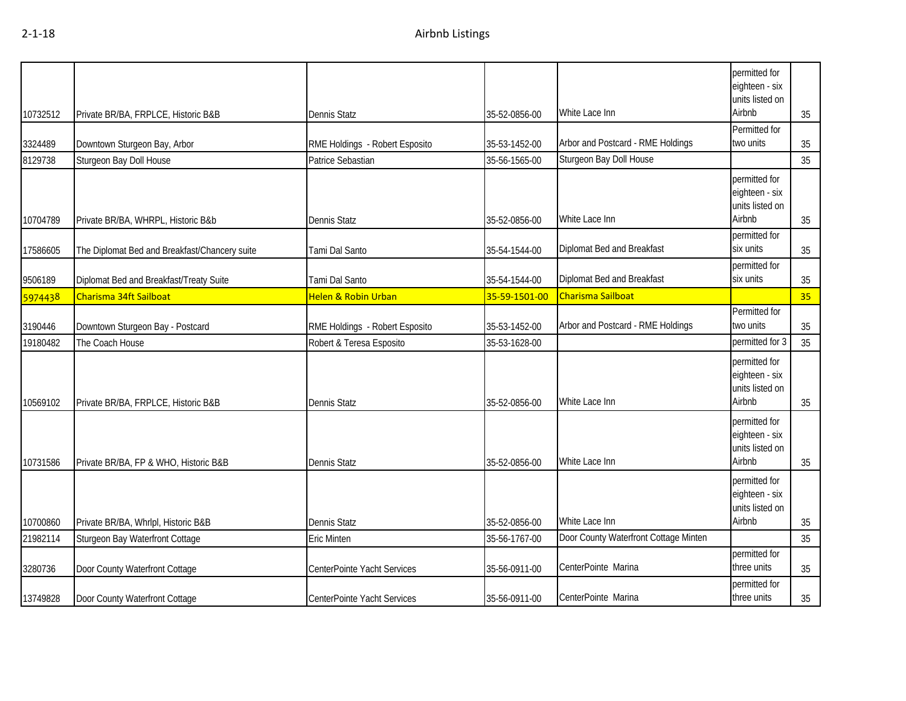| 10732512 | Private BR/BA, FRPLCE, Historic B&B           | <b>Dennis Statz</b>            | 35-52-0856-00 | White Lace Inn                        | permitted for<br>eighteen - six<br>units listed on<br>Airbnb | 35 |
|----------|-----------------------------------------------|--------------------------------|---------------|---------------------------------------|--------------------------------------------------------------|----|
| 3324489  | Downtown Sturgeon Bay, Arbor                  | RME Holdings - Robert Esposito | 35-53-1452-00 | Arbor and Postcard - RME Holdings     | Permitted for<br>two units                                   | 35 |
| 8129738  | Sturgeon Bay Doll House                       | Patrice Sebastian              | 35-56-1565-00 | Sturgeon Bay Doll House               |                                                              | 35 |
| 10704789 | Private BR/BA, WHRPL, Historic B&b            | <b>Dennis Statz</b>            | 35-52-0856-00 | White Lace Inn                        | permitted for<br>eighteen - six<br>units listed on<br>Airbnb | 35 |
| 17586605 | The Diplomat Bed and Breakfast/Chancery suite | Tami Dal Santo                 | 35-54-1544-00 | Diplomat Bed and Breakfast            | permitted for<br>six units                                   | 35 |
| 9506189  | Diplomat Bed and Breakfast/Treaty Suite       | Tami Dal Santo                 | 35-54-1544-00 | Diplomat Bed and Breakfast            | permitted for<br>six units                                   | 35 |
| 5974438  | Charisma 34ft Sailboat                        | Helen & Robin Urban            | 35-59-1501-00 | Charisma Sailboat                     |                                                              | 35 |
| 3190446  | Downtown Sturgeon Bay - Postcard              | RME Holdings - Robert Esposito | 35-53-1452-00 | Arbor and Postcard - RME Holdings     | Permitted for<br>two units                                   | 35 |
| 19180482 | The Coach House                               | Robert & Teresa Esposito       | 35-53-1628-00 |                                       | permitted for 3                                              | 35 |
| 10569102 | Private BR/BA, FRPLCE, Historic B&B           | <b>Dennis Statz</b>            | 35-52-0856-00 | White Lace Inn                        | permitted for<br>eighteen - six<br>units listed on<br>Airbnb | 35 |
| 10731586 | Private BR/BA, FP & WHO, Historic B&B         | <b>Dennis Statz</b>            | 35-52-0856-00 | White Lace Inn                        | permitted for<br>eighteen - six<br>units listed on<br>Airbnb | 35 |
| 10700860 | Private BR/BA, Whrlpl, Historic B&B           | <b>Dennis Statz</b>            | 35-52-0856-00 | White Lace Inn                        | permitted for<br>eighteen - six<br>units listed on<br>Airbnb | 35 |
| 21982114 | Sturgeon Bay Waterfront Cottage               | <b>Eric Minten</b>             | 35-56-1767-00 | Door County Waterfront Cottage Minten |                                                              | 35 |
| 3280736  | Door County Waterfront Cottage                | CenterPointe Yacht Services    | 35-56-0911-00 | CenterPointe Marina                   | permitted for<br>three units                                 | 35 |
| 13749828 | Door County Waterfront Cottage                | CenterPointe Yacht Services    | 35-56-0911-00 | CenterPointe Marina                   | permitted for<br>three units                                 | 35 |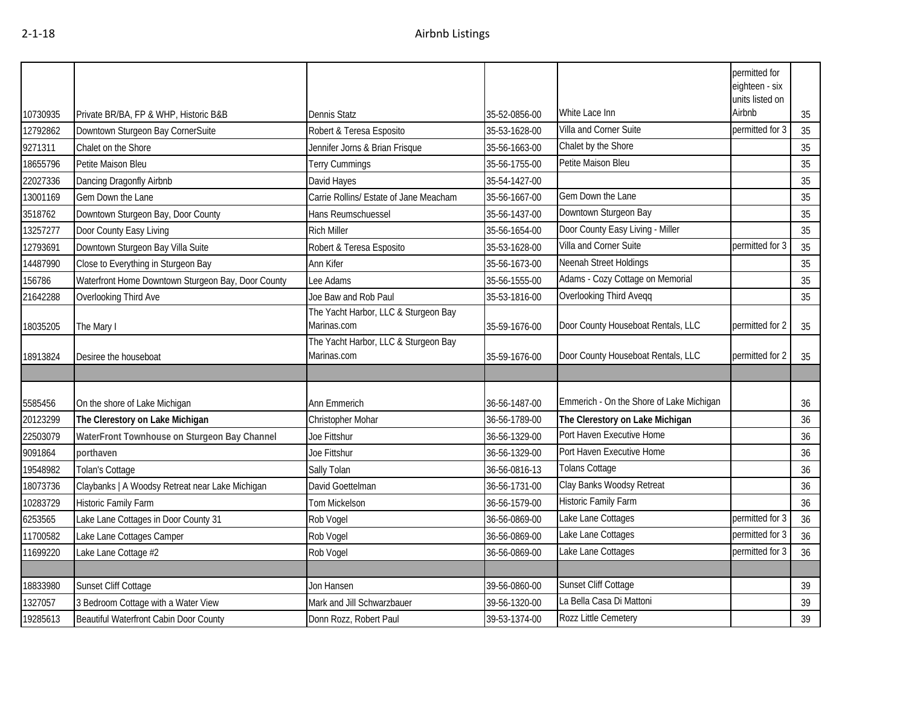|          |                                                    |                                                     |               |                                          | permitted for<br>eighteen - six<br>units listed on |    |
|----------|----------------------------------------------------|-----------------------------------------------------|---------------|------------------------------------------|----------------------------------------------------|----|
| 10730935 | Private BR/BA, FP & WHP, Historic B&B              | Dennis Statz                                        | 35-52-0856-00 | White Lace Inn                           | Airbnb                                             | 35 |
| 12792862 | Downtown Sturgeon Bay CornerSuite                  | Robert & Teresa Esposito                            | 35-53-1628-00 | Villa and Corner Suite                   | permitted for 3                                    | 35 |
| 9271311  | Chalet on the Shore                                | Jennifer Jorns & Brian Frisque                      | 35-56-1663-00 | Chalet by the Shore                      |                                                    | 35 |
| 18655796 | Petite Maison Bleu                                 | Terry Cummings                                      | 35-56-1755-00 | Petite Maison Bleu                       |                                                    | 35 |
| 22027336 | Dancing Dragonfly Airbnb                           | David Hayes                                         | 35-54-1427-00 |                                          |                                                    | 35 |
| 13001169 | Gem Down the Lane                                  | Carrie Rollins/ Estate of Jane Meacham              | 35-56-1667-00 | Gem Down the Lane                        |                                                    | 35 |
| 3518762  | Downtown Sturgeon Bay, Door County                 | Hans Reumschuessel                                  | 35-56-1437-00 | Downtown Sturgeon Bay                    |                                                    | 35 |
| 13257277 | Door County Easy Living                            | <b>Rich Miller</b>                                  | 35-56-1654-00 | Door County Easy Living - Miller         |                                                    | 35 |
| 12793691 | Downtown Sturgeon Bay Villa Suite                  | Robert & Teresa Esposito                            | 35-53-1628-00 | Villa and Corner Suite                   | permitted for 3                                    | 35 |
| 14487990 | Close to Everything in Sturgeon Bay                | Ann Kifer                                           | 35-56-1673-00 | Neenah Street Holdings                   |                                                    | 35 |
| 156786   | Waterfront Home Downtown Sturgeon Bay, Door County | Lee Adams                                           | 35-56-1555-00 | Adams - Cozy Cottage on Memorial         |                                                    | 35 |
| 21642288 | Overlooking Third Ave                              | Joe Baw and Rob Paul                                | 35-53-1816-00 | Overlooking Third Aveqq                  |                                                    | 35 |
| 18035205 | The Mary I                                         | The Yacht Harbor, LLC & Sturgeon Bay<br>Marinas.com | 35-59-1676-00 | Door County Houseboat Rentals, LLC       | permitted for 2                                    | 35 |
| 18913824 | Desiree the houseboat                              | The Yacht Harbor, LLC & Sturgeon Bay<br>Marinas.com | 35-59-1676-00 | Door County Houseboat Rentals, LLC       | permitted for 2                                    | 35 |
|          |                                                    |                                                     |               |                                          |                                                    |    |
| 5585456  | On the shore of Lake Michigan                      | Ann Emmerich                                        | 36-56-1487-00 | Emmerich - On the Shore of Lake Michigan |                                                    | 36 |
| 20123299 | The Clerestory on Lake Michigan                    | Christopher Mohar                                   | 36-56-1789-00 | The Clerestory on Lake Michigan          |                                                    | 36 |
| 22503079 | WaterFront Townhouse on Sturgeon Bay Channel       | Joe Fittshur                                        | 36-56-1329-00 | Port Haven Executive Home                |                                                    | 36 |
| 9091864  | porthaven                                          | Joe Fittshur                                        | 36-56-1329-00 | Port Haven Executive Home                |                                                    | 36 |
| 19548982 | Tolan's Cottage                                    | Sally Tolan                                         | 36-56-0816-13 | Tolans Cottage                           |                                                    | 36 |
| 18073736 | Claybanks   A Woodsy Retreat near Lake Michigan    | David Goettelman                                    | 36-56-1731-00 | Clay Banks Woodsy Retreat                |                                                    | 36 |
| 10283729 | <b>Historic Family Farm</b>                        | Tom Mickelson                                       | 36-56-1579-00 | Historic Family Farm                     |                                                    | 36 |
| 6253565  | Lake Lane Cottages in Door County 31               | Rob Vogel                                           | 36-56-0869-00 | Lake Lane Cottages                       | permitted for 3                                    | 36 |
| 11700582 | Lake Lane Cottages Camper                          | Rob Vogel                                           | 36-56-0869-00 | Lake Lane Cottages                       | permitted for 3                                    | 36 |
| 11699220 | Lake Lane Cottage #2                               | Rob Vogel                                           | 36-56-0869-00 | Lake Lane Cottages                       | permitted for 3                                    | 36 |
|          |                                                    |                                                     |               |                                          |                                                    |    |
| 18833980 | Sunset Cliff Cottage                               | Jon Hansen                                          | 39-56-0860-00 | Sunset Cliff Cottage                     |                                                    | 39 |
| 1327057  | 3 Bedroom Cottage with a Water View                | Mark and Jill Schwarzbauer                          | 39-56-1320-00 | La Bella Casa Di Mattoni                 |                                                    | 39 |
| 19285613 | Beautiful Waterfront Cabin Door County             | Donn Rozz, Robert Paul                              | 39-53-1374-00 | Rozz Little Cemetery                     |                                                    | 39 |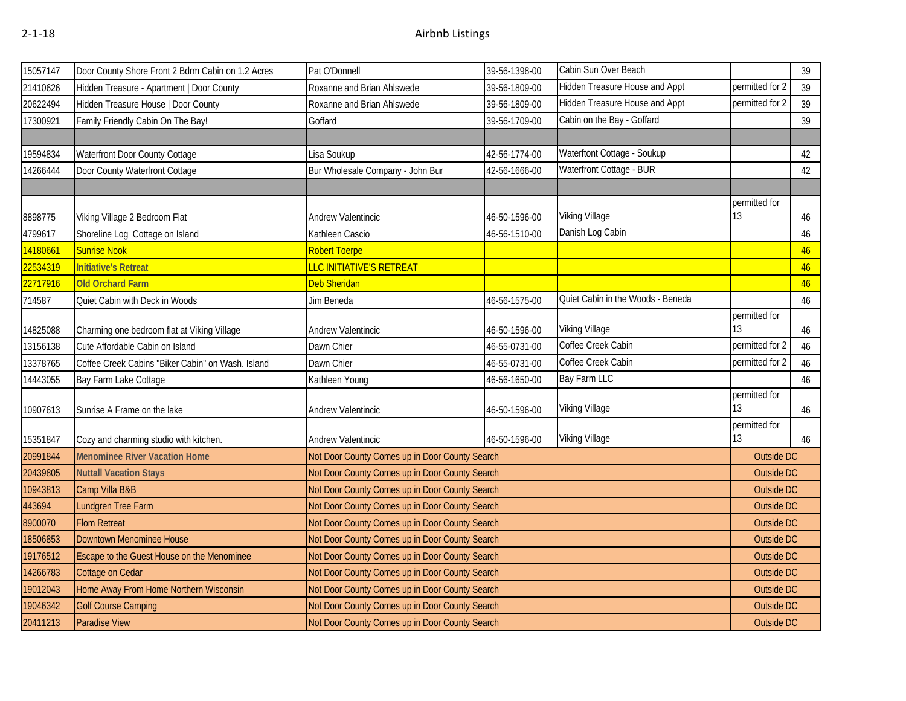| 15057147 | Door County Shore Front 2 Bdrm Cabin on 1.2 Acres | Pat O'Donnell                                  | 39-56-1398-00 | Cabin Sun Over Beach              |                     | 39         |
|----------|---------------------------------------------------|------------------------------------------------|---------------|-----------------------------------|---------------------|------------|
| 21410626 | Hidden Treasure - Apartment   Door County         | Roxanne and Brian Ahlswede                     | 39-56-1809-00 | Hidden Treasure House and Appt    | permitted for 2     | 39         |
| 20622494 | Hidden Treasure House   Door County               | Roxanne and Brian Ahlswede                     | 39-56-1809-00 | Hidden Treasure House and Appt    | permitted for 2     | 39         |
| 17300921 | Family Friendly Cabin On The Bay!                 | Goffard                                        | 39-56-1709-00 | Cabin on the Bay - Goffard        |                     | 39         |
|          |                                                   |                                                |               |                                   |                     |            |
| 19594834 | Waterfront Door County Cottage                    | .isa Soukup                                    | 42-56-1774-00 | Waterftont Cottage - Soukup       |                     | 42         |
| 14266444 | Door County Waterfront Cottage                    | Bur Wholesale Company - John Bur               | 42-56-1666-00 | Waterfront Cottage - BUR          |                     | 42         |
|          |                                                   |                                                |               |                                   |                     |            |
|          |                                                   |                                                |               |                                   | permitted for       |            |
| 8898775  | Viking Village 2 Bedroom Flat                     | Andrew Valentincic                             | 46-50-1596-00 | Viking Village                    | 13                  | 46         |
| 4799617  | Shoreline Log Cottage on Island                   | Kathleen Cascio                                | 46-56-1510-00 | Danish Log Cabin                  |                     | 46         |
| 14180661 | <b>Sunrise Nook</b>                               | Robert Toerpe                                  |               |                                   |                     | 46         |
| 22534319 | <b>Initiative's Retreat</b>                       | <mark>LLC INITIATIVE'S RETREAT</mark>          |               |                                   |                     | 46         |
| 22717916 | <b>Old Orchard Farm</b>                           | Deb Sheridan                                   |               |                                   |                     | 46         |
| 714587   | Quiet Cabin with Deck in Woods                    | Jim Beneda                                     | 46-56-1575-00 | Quiet Cabin in the Woods - Beneda |                     | 46         |
|          |                                                   |                                                |               |                                   | permitted for       |            |
| 14825088 | Charming one bedroom flat at Viking Village       | Andrew Valentincic                             | 46-50-1596-00 | Viking Village                    | 13                  | $46\,$     |
| 13156138 | Cute Affordable Cabin on Island                   | Dawn Chier                                     | 46-55-0731-00 | Coffee Creek Cabin                | permitted for 2     | 46         |
| 13378765 | Coffee Creek Cabins "Biker Cabin" on Wash. Island | Dawn Chier                                     | 46-55-0731-00 | Coffee Creek Cabin                | permitted for 2     | 46         |
| 14443055 | Bay Farm Lake Cottage                             | Kathleen Young                                 | 46-56-1650-00 | <b>Bay Farm LLC</b>               |                     | 46         |
| 10907613 | Sunrise A Frame on the lake                       | Andrew Valentincic                             | 46-50-1596-00 | Viking Village                    | permitted for<br>13 | 46         |
| 15351847 | Cozy and charming studio with kitchen.            | Andrew Valentincic                             | 46-50-1596-00 | <b>Viking Village</b>             | permitted for<br>13 | 46         |
| 20991844 | <b>Menominee River Vacation Home</b>              | Not Door County Comes up in Door County Search |               |                                   | <b>Outside DC</b>   |            |
| 20439805 | <b>Nuttall Vacation Stays</b>                     | Not Door County Comes up in Door County Search |               |                                   | <b>Outside DC</b>   |            |
| 10943813 | Camp Villa B&B                                    | Not Door County Comes up in Door County Search |               |                                   | Outside DC          |            |
| 443694   | Lundgren Tree Farm                                | Not Door County Comes up in Door County Search |               |                                   | Outside DC          |            |
| 8900070  | <b>Flom Retreat</b>                               | Not Door County Comes up in Door County Search |               |                                   | Outside DC          |            |
| 18506853 | Downtown Menominee House                          | Not Door County Comes up in Door County Search |               |                                   | <b>Outside DC</b>   |            |
| 19176512 | Escape to the Guest House on the Menominee        | Not Door County Comes up in Door County Search |               |                                   | <b>Outside DC</b>   |            |
| 14266783 | Cottage on Cedar                                  | Not Door County Comes up in Door County Search |               |                                   | Outside DC          |            |
| 19012043 | Home Away From Home Northern Wisconsin            | Not Door County Comes up in Door County Search |               |                                   | Outside DC          |            |
| 19046342 | <b>Golf Course Camping</b>                        | Not Door County Comes up in Door County Search |               |                                   | <b>Outside DC</b>   |            |
| 20411213 | <b>Paradise View</b>                              | Not Door County Comes up in Door County Search |               |                                   |                     | Outside DC |